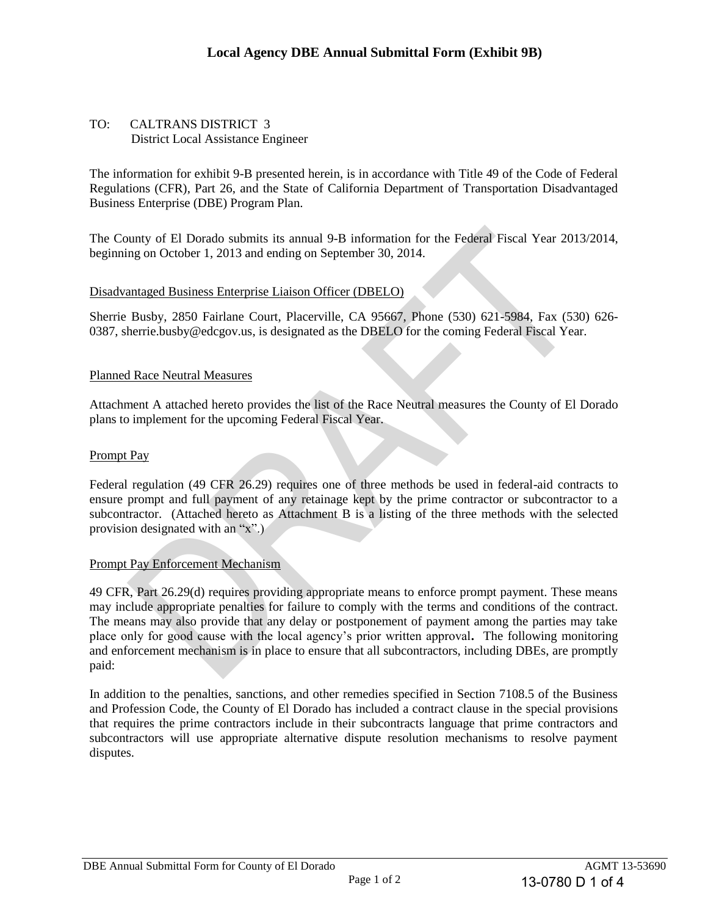#### TO: CALTRANS DISTRICT 3 District Local Assistance Engineer

The information for exhibit 9-B presented herein, is in accordance with Title 49 of the Code of Federal Regulations (CFR), Part 26, and the State of California Department of Transportation Disadvantaged Business Enterprise (DBE) Program Plan.

The County of El Dorado submits its annual 9-B information for the Federal Fiscal Year 2013/2014, beginning on October 1, 2013 and ending on September 30, 2014.

#### . Disadvantaged Business Enterprise Liaison Officer (DBELO)

Sherrie Busby, 2850 Fairlane Court, Placerville, CA 95667, Phone (530) 621-5984, Fax (530) 626- 0387, sherrie.busby@edcgov.us, is designated as the DBELO for the coming Federal Fiscal Year.

#### Planned Race Neutral Measures

Attachment A attached hereto provides the list of the Race Neutral measures the County of El Dorado plans to implement for the upcoming Federal Fiscal Year.

#### Prompt Pay

Federal regulation (49 CFR 26.29) requires one of three methods be used in federal-aid contracts to ensure prompt and full payment of any retainage kept by the prime contractor or subcontractor to a subcontractor. (Attached hereto as Attachment B is a listing of the three methods with the selected provision designated with an "x".)

#### Prompt Pay Enforcement Mechanism

49 CFR, Part 26.29(d) requires providing appropriate means to enforce prompt payment. These means may include appropriate penalties for failure to comply with the terms and conditions of the contract. The means may also provide that any delay or postponement of payment among the parties may take place only for good cause with the local agency's prior written approval**.** The following monitoring and enforcement mechanism is in place to ensure that all subcontractors, including DBEs, are promptly paid: unty of El Dorado submits its annual 9-B information for the Federal Fiscal Year 201:<br>mg on October 1, 2013 and ending on September 30, 2014.<br>antaged Business Enterprise Liaison Officer (DBELO)<br>Busby, 2850 Fairlane Court,

In addition to the penalties, sanctions, and other remedies specified in Section 7108.5 of the Business and Profession Code, the County of El Dorado has included a contract clause in the special provisions that requires the prime contractors include in their subcontracts language that prime contractors and subcontractors will use appropriate alternative dispute resolution mechanisms to resolve payment disputes.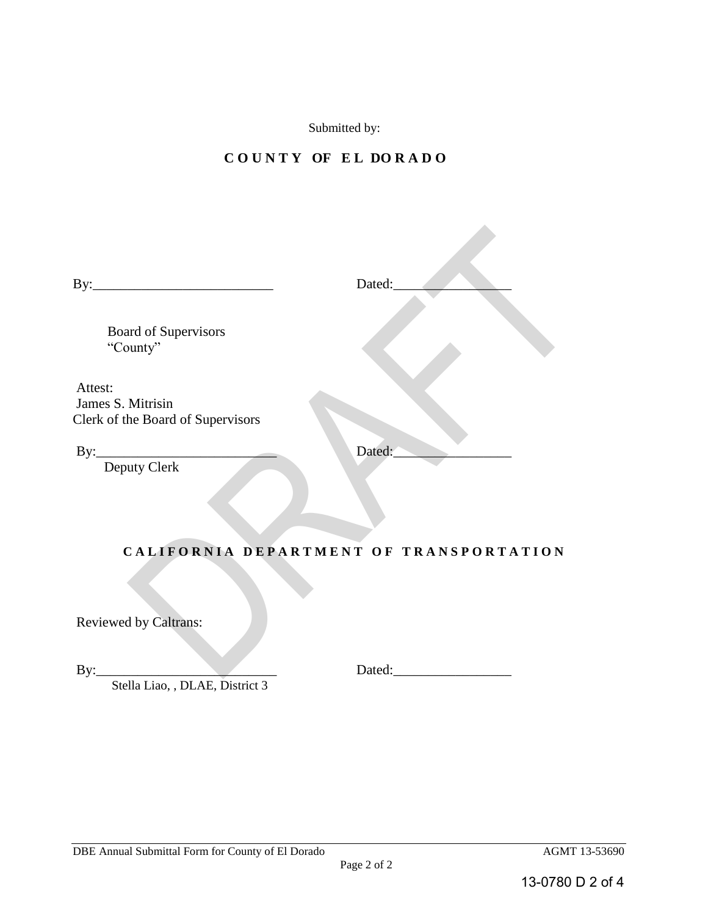Submitted by:

### **C O U N T Y OF E L DO R A D O**

 $B_{\rm eff}$  and  $B_{\rm eff}$  are the set of the set of the set of the set of the set of the set of the set of the set of the set of the set of the set of the set of the set of the set of the set of the set of the set of the set

| Dated:                                                                                                                                                                                                                         |
|--------------------------------------------------------------------------------------------------------------------------------------------------------------------------------------------------------------------------------|
|                                                                                                                                                                                                                                |
| CALIFORNIA DEPARTMENT OF TRANSPORTATION                                                                                                                                                                                        |
|                                                                                                                                                                                                                                |
|                                                                                                                                                                                                                                |
| Dated: the contract of the contract of the contract of the contract of the contract of the contract of the contract of the contract of the contract of the contract of the contract of the contract of the contract of the con |
|                                                                                                                                                                                                                                |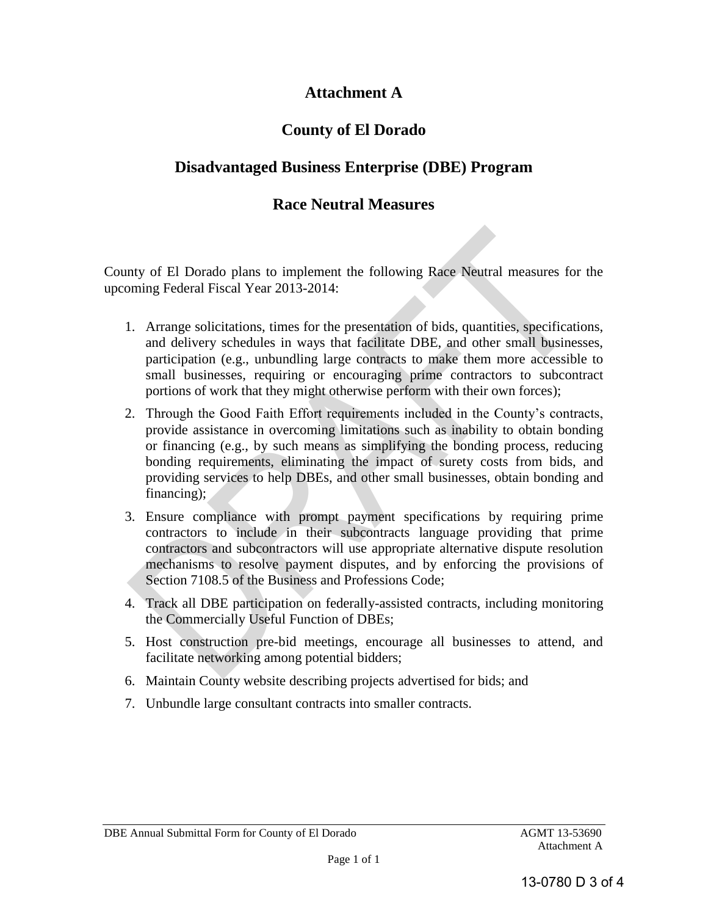### **Attachment A**

# **County of El Dorado**

# **Disadvantaged Business Enterprise (DBE) Program**

### **Race Neutral Measures**

County of El Dorado plans to implement the following Race Neutral measures for the upcoming Federal Fiscal Year 2013-2014:

- 1. Arrange solicitations, times for the presentation of bids, quantities, specifications, and delivery schedules in ways that facilitate DBE, and other small businesses, participation (e.g., unbundling large contracts to make them more accessible to small businesses, requiring or encouraging prime contractors to subcontract portions of work that they might otherwise perform with their own forces);
- 2. Through the Good Faith Effort requirements included in the County's contracts, provide assistance in overcoming limitations such as inability to obtain bonding or financing (e.g., by such means as simplifying the bonding process, reducing bonding requirements, eliminating the impact of surety costs from bids, and providing services to help DBEs, and other small businesses, obtain bonding and financing); my of El Dorado plans to implement the following Race Neutral measures for ming Federal Fiscal Year 2013-2014:<br>
1. Arrange solicitations, times for the presentation of bids, quantities, specification and delivery schedules
- 3. Ensure compliance with prompt payment specifications by requiring prime contractors to include in their subcontracts language providing that prime contractors and subcontractors will use appropriate alternative dispute resolution mechanisms to resolve payment disputes, and by enforcing the provisions of Section 7108.5 of the Business and Professions Code;
- 4. Track all DBE participation on federally-assisted contracts, including monitoring the Commercially Useful Function of DBEs;
- 5. Host construction pre-bid meetings, encourage all businesses to attend, and facilitate networking among potential bidders;
- 6. Maintain County website describing projects advertised for bids; and
- 7. Unbundle large consultant contracts into smaller contracts.